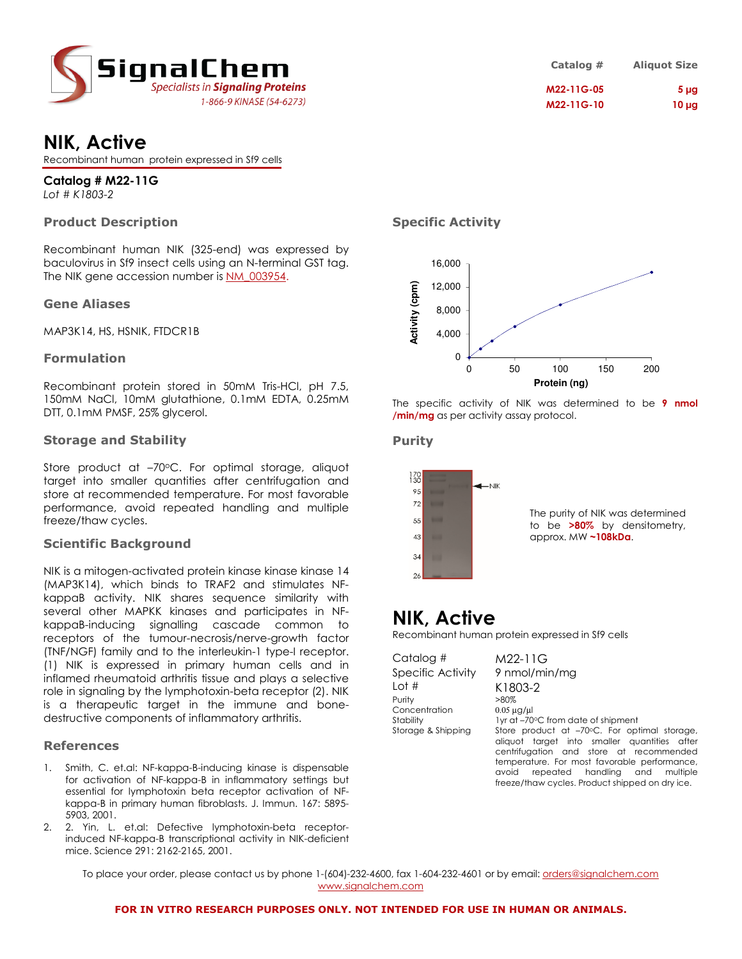

|  | <b>NIK, Active</b> |
|--|--------------------|
|--|--------------------|

Recombinant human protein expressed in Sf9 cells

**Catalog # M22-11G**  *Lot # K1803-2*

# **Product Description**

Recombinant human NIK (325-end) was expressed by baculovirus in Sf9 insect cells using an N-terminal GST tag. The NIK gene accession number is NM\_003954.

### **Gene Aliases**

MAP3K14, HS, HSNIK, FTDCR1B

## **Formulation**

Recombinant protein stored in 50mM Tris-HCl, pH 7.5, 150mM NaCl, 10mM glutathione, 0.1mM EDTA, 0.25mM DTT, 0.1mM PMSF, 25% glycerol.

### **Storage and Stability**

Store product at -70°C. For optimal storage, aliquot target into smaller quantities after centrifugation and store at recommended temperature. For most favorable performance, avoid repeated handling and multiple freeze/thaw cycles.

### **Scientific Background**

NIK is a mitogen-activated protein kinase kinase kinase 14 (MAP3K14), which binds to TRAF2 and stimulates NFkappaB activity. NIK shares sequence similarity with several other MAPKK kinases and participates in NFkappaB-inducing signalling cascade common to receptors of the tumour-necrosis/nerve-growth factor (TNF/NGF) family and to the interleukin-1 type-I receptor. (1) NIK is expressed in primary human cells and in inflamed rheumatoid arthritis tissue and plays a selective role in signaling by the lymphotoxin-beta receptor (2). NIK is a therapeutic target in the immune and bonedestructive components of inflammatory arthritis.

### **References**

- 1. Smith, C. et.al: NF-kappa-B-inducing kinase is dispensable for activation of NF-kappa-B in inflammatory settings but essential for lymphotoxin beta receptor activation of NFkappa-B in primary human fibroblasts. J. Immun. 167: 5895- 5903, 2001.
- 2. 2. Yin, L. et.al: Defective lymphotoxin-beta receptorinduced NF-kappa-B transcriptional activity in NIK-deficient mice. Science 291: 2162-2165, 2001.

**Specific Activity** 



The specific activity of NIK was determined to be **9 nmol /min/mg** as per activity assay protocol.

### **Purity**



The purity of NIK was determined to be **>80%** by densitometry, approx. MW **~108kDa**.

**Catalog # Aliquot Size M22-11G-05 5 µg M22-11G-10 10 µg** 

# **NIK, Active**

Recombinant human protein expressed in Sf9 cells

Catalog # M22-11G Specific Activity 9 nmol/min/mg Lot # K1803-2 Purity Concentration  $0.05 \mu g/\mu$ 

Stability 1yr at –70°C from date of shipment Storage & Shipping Store product at -70°C. For optimal storage, aliquot target into smaller quantities after centrifugation and store at recommended temperature. For most favorable performance, avoid repeated handling and multiple

freeze/thaw cycles. Product shipped on dry ice.

To place your order, please contact us by phone 1-(604)-232-4600, fax 1-604-232-4601 or by email: *orders@signalchem.com* www.signalchem.com